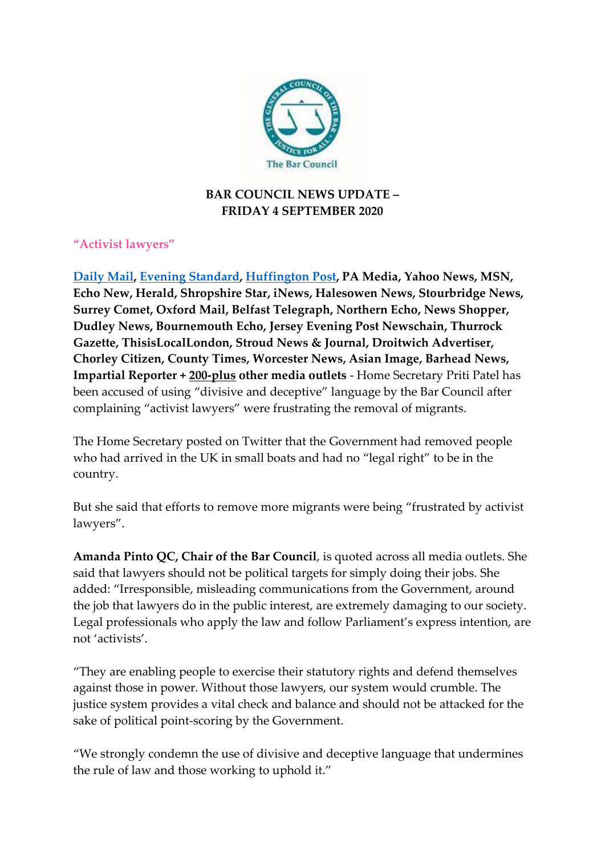

# **BAR COUNCIL NEWS UPDATE – FRIDAY 4 SEPTEMBER 2020**

# **"Activist lawyers"**

**[Daily Mail,](https://protect-eu.mimecast.com/s/JaAaCyM7hJN68sZUYeW?domain=dailymail.co.uk) [Evening Standard,](https://protect-eu.mimecast.com/s/uLkoCz9QcnR8kiXCemw?domain=standard.co.uk) [Huffington Post,](https://protect-eu.mimecast.com/s/twdhCAAWCV9rwU9kWKJ?domain=huffingtonpost.co.uk) PA Media, Yahoo News, MSN, Echo New, Herald, Shropshire Star, iNews, Halesowen News, Stourbridge News, Surrey Comet, Oxford Mail, Belfast Telegraph, Northern Echo, News Shopper, Dudley News, Bournemouth Echo, Jersey Evening Post Newschain, Thurrock Gazette, ThisisLocalLondon, Stroud News & Journal, Droitwich Advertiser, Chorley Citizen, County Times, Worcester News, Asian Image, Barhead News, Impartial Reporter + 200-plus other media outlets** - Home Secretary Priti Patel has been accused of using "divisive and deceptive" language by the Bar Council after complaining "activist lawyers" were frustrating the removal of migrants.

The Home Secretary posted on Twitter that the Government had removed people who had arrived in the UK in small boats and had no "legal right" to be in the country.

But she said that efforts to remove more migrants were being "frustrated by activist lawyers".

**Amanda Pinto QC, Chair of the Bar Council**, is quoted across all media outlets. She said that lawyers should not be political targets for simply doing their jobs. She added: "Irresponsible, misleading communications from the Government, around the job that lawyers do in the public interest, are extremely damaging to our society. Legal professionals who apply the law and follow Parliament's express intention, are not 'activists'.

"They are enabling people to exercise their statutory rights and defend themselves against those in power. Without those lawyers, our system would crumble. The justice system provides a vital check and balance and should not be attacked for the sake of political point-scoring by the Government.

"We strongly condemn the use of divisive and deceptive language that undermines the rule of law and those working to uphold it."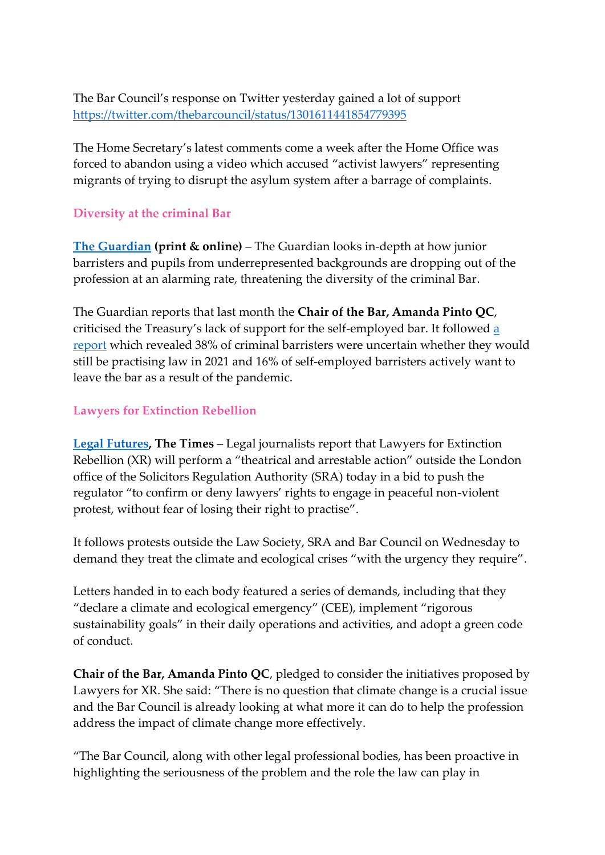The Bar Council's response on Twitter yesterday gained a lot of support [https://twitter.com/thebarcouncil/status/1301611441854779395](https://protect-eu.mimecast.com/s/hpeOCBQOUAVPwFj1AtK?domain=twitter.com)

The Home Secretary's latest comments come a week after the Home Office was forced to abandon using a video which accused "activist lawyers" representing migrants of trying to disrupt the asylum system after a barrage of complaints.

## **Diversity at the criminal Bar**

**[The Guardian](https://protect-eu.mimecast.com/s/lmVOCDP6tMBjEclPXPj?domain=theguardian.com) (print & online)** – The Guardian looks in-depth at how junior barristers and pupils from underrepresented backgrounds are dropping out of the profession at an alarming rate, threatening the diversity of the criminal Bar.

The Guardian reports that last month the **Chair of the Bar, Amanda Pinto QC**, criticised the Treasury's lack of support for the self-employed bar. It followed [a](https://protect-eu.mimecast.com/s/wPl0CEG1hnW1viQ5zEb?domain=barcouncil.org.uk)  [report](https://protect-eu.mimecast.com/s/wPl0CEG1hnW1viQ5zEb?domain=barcouncil.org.uk) which revealed 38% of criminal barristers were uncertain whether they would still be practising law in 2021 and 16% of self-employed barristers actively want to leave the bar as a result of the pandemic.

#### **Lawyers for Extinction Rebellion**

**[Legal Futures,](https://protect-eu.mimecast.com/s/2tSgCGgzTqJWDF1kph3?domain=legalfutures.co.uk) The Times** – Legal journalists report that Lawyers for Extinction Rebellion (XR) will perform a "theatrical and arrestable action" outside the London office of the Solicitors Regulation Authority (SRA) today in a bid to push the regulator "to confirm or deny lawyers' rights to engage in peaceful non-violent protest, without fear of losing their right to practise".

It follows protests outside the Law Society, SRA and Bar Council on Wednesday to demand they treat the climate and ecological crises "with the urgency they require".

Letters handed in to each body featured a series of demands, including that they "declare a climate and ecological emergency" (CEE), implement "rigorous sustainability goals" in their daily operations and activities, and adopt a green code of conduct.

**Chair of the Bar, Amanda Pinto QC**, pledged to consider the initiatives proposed by Lawyers for XR. She said: "There is no question that climate change is a crucial issue and the Bar Council is already looking at what more it can do to help the profession address the impact of climate change more effectively.

"The Bar Council, along with other legal professional bodies, has been proactive in highlighting the seriousness of the problem and the role the law can play in